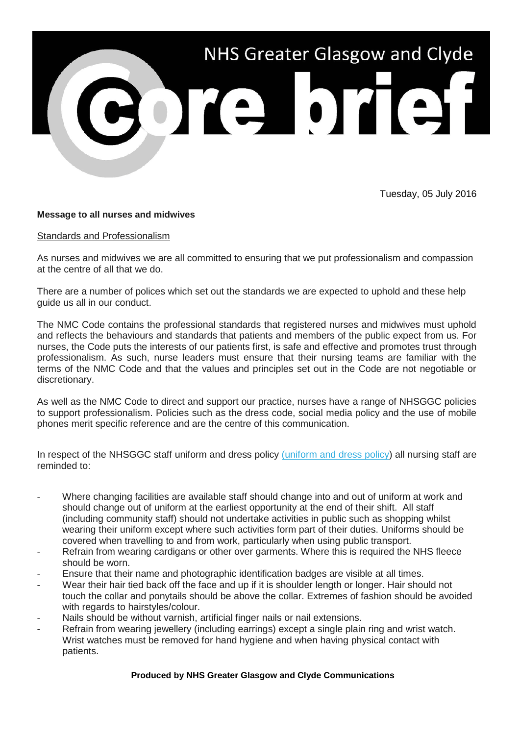

Tuesday, 05 July 2016

## **Message to all nurses and midwives**

## Standards and Professionalism

As nurses and midwives we are all committed to ensuring that we put professionalism and compassion at the centre of all that we do.

There are a number of polices which set out the standards we are expected to uphold and these help guide us all in our conduct.

The NMC Code contains the professional standards that registered nurses and midwives must uphold and reflects the behaviours and standards that patients and members of the public expect from us. For nurses, the Code puts the interests of our patients first, is safe and effective and promotes trust through professionalism. As such, nurse leaders must ensure that their nursing teams are familiar with the terms of the NMC Code and that the values and principles set out in the Code are not negotiable or discretionary.

As well as the NMC Code to direct and support our practice, nurses have a range of NHSGGC policies to support professionalism. Policies such as the dress code, social media policy and the use of mobile phones merit specific reference and are the centre of this communication.

In respect of the NHSGGC staff uniform and dress policy [\(uniform and dress policy\)](http://nhsggc.us12.list-manage.com/track/click?u=0f385b5aea37eaf0213bd19fb&id=8178c60a76&e=5af5e1832c) all nursing staff are reminded to:

- Where changing facilities are available staff should change into and out of uniform at work and should change out of uniform at the earliest opportunity at the end of their shift. All staff (including community staff) should not undertake activities in public such as shopping whilst wearing their uniform except where such activities form part of their duties. Uniforms should be covered when travelling to and from work, particularly when using public transport.
- Refrain from wearing cardigans or other over garments. Where this is required the NHS fleece should be worn.
- Ensure that their name and photographic identification badges are visible at all times.
- Wear their hair tied back off the face and up if it is shoulder length or longer. Hair should not touch the collar and ponytails should be above the collar. Extremes of fashion should be avoided with regards to hairstyles/colour.
- Nails should be without varnish, artificial finger nails or nail extensions.
- Refrain from wearing jewellery (including earrings) except a single plain ring and wrist watch. Wrist watches must be removed for hand hygiene and when having physical contact with patients.

**Produced by NHS Greater Glasgow and Clyde Communications**